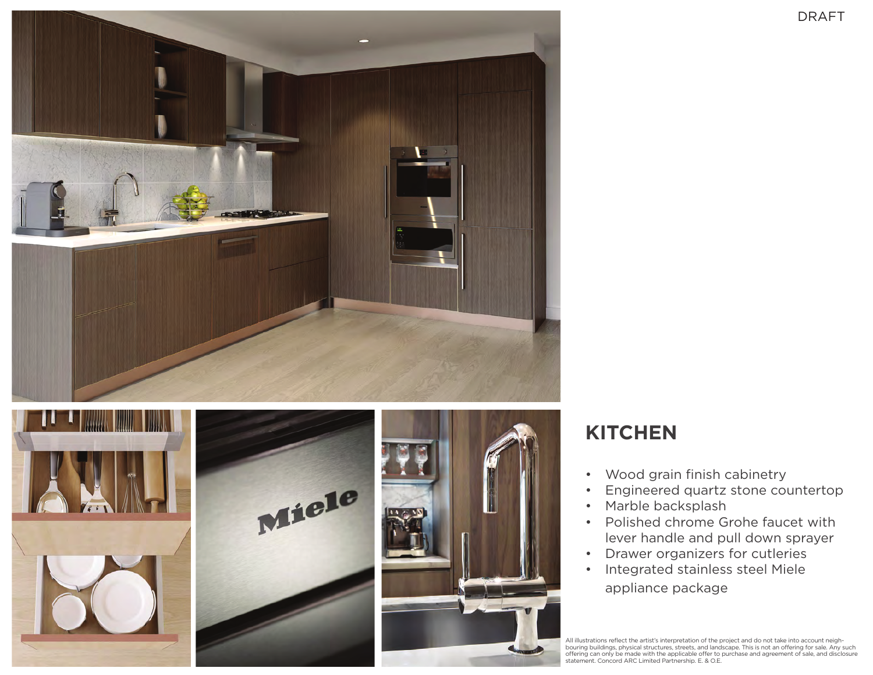





## **KITCHEN**

- • Wood grain finish cabinetry
- • Engineered quartz stone countertop
- • Marble backsplash
- • Polished chrome Grohe faucet with lever handle and pull down sprayer
- • Drawer organizers for cutleries
- • Integrated stainless steel Miele appliance package

All illustrations reflect the artist's interpretation of the project and do not take into account neigh-bouring buildings, physical structures, streets, and landscape. This is not an offering for sale. Any such offering can only be made with the applicable offer to purchase and agreement of sale, and disclosure statement. Concord ARC Limited Partnership. E. & O.E.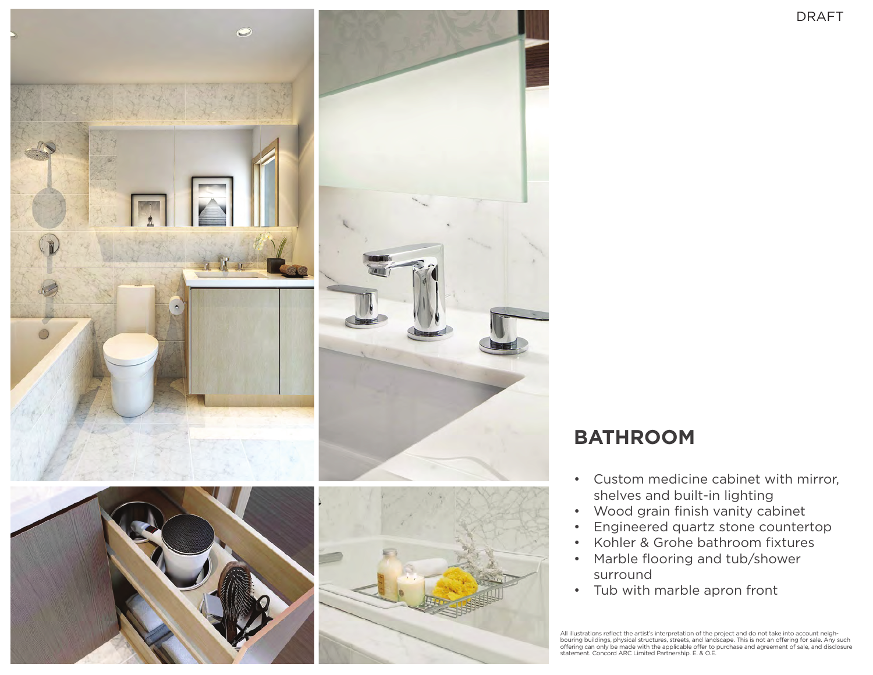

## **BATHROOM**

- • Custom medicine cabinet with mirror, shelves and built-in lighting
- • Wood grain finish vanity cabinet
- • Engineered quartz stone countertop
- • Kohler & Grohe bathroom fixtures
- • Marble flooring and tub/shower surround
- • Tub with marble apron front

All illustrations reflect the artist's interpretation of the project and do not take into account neigh-<br>bouring buildings, physical structures, streets, and landscape. This is not an offering for sale. Any such<br>offering c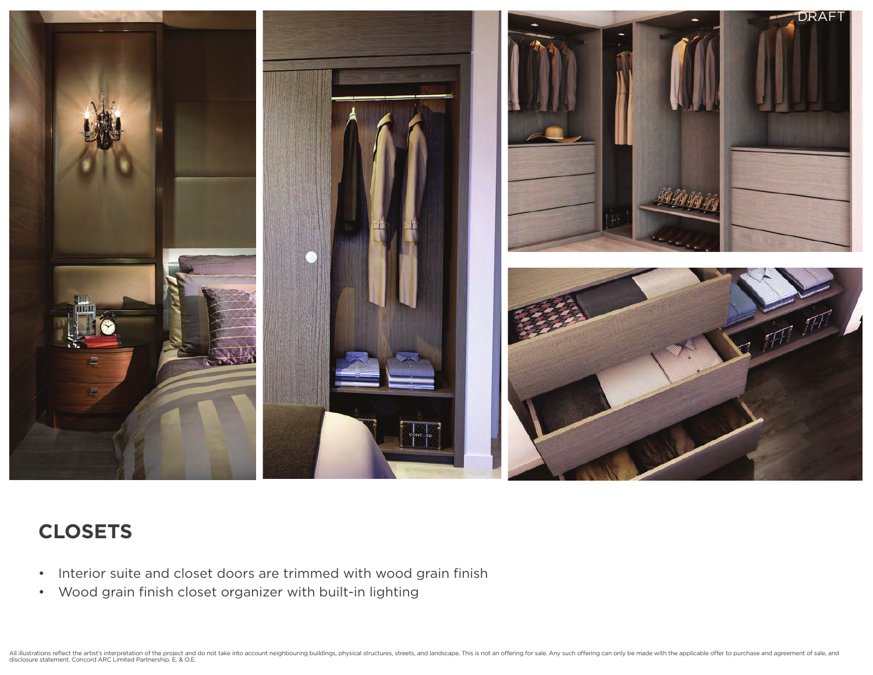

## **CLOSETS**

- Interior suite and closet doors are trimmed with wood grain finish
- • Wood grain finish closet organizer with built-in lighting